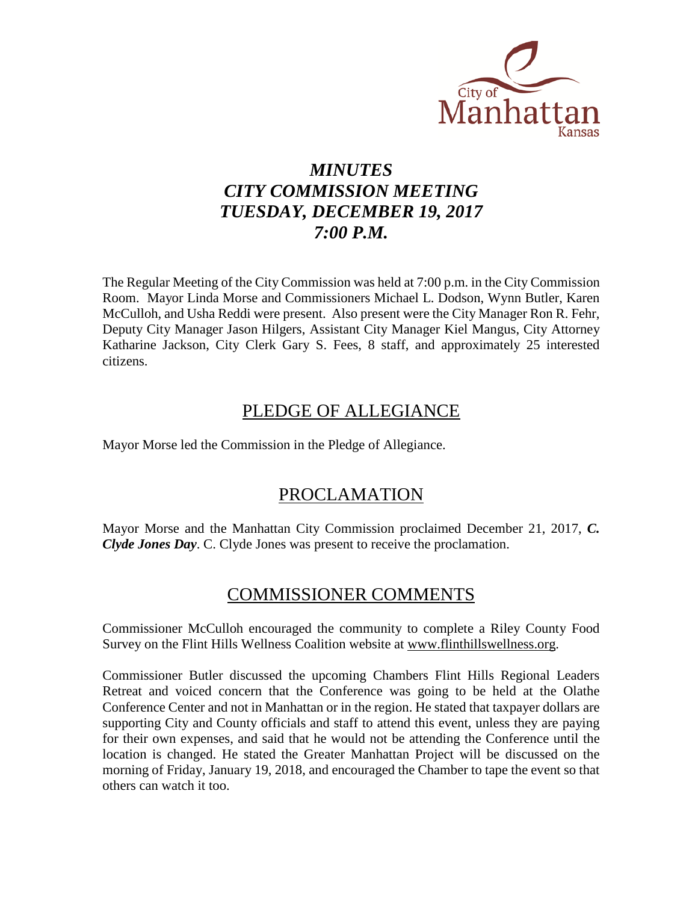

# *MINUTES CITY COMMISSION MEETING TUESDAY, DECEMBER 19, 2017 7:00 P.M.*

The Regular Meeting of the City Commission was held at 7:00 p.m. in the City Commission Room. Mayor Linda Morse and Commissioners Michael L. Dodson, Wynn Butler, Karen McCulloh, and Usha Reddi were present. Also present were the City Manager Ron R. Fehr, Deputy City Manager Jason Hilgers, Assistant City Manager Kiel Mangus, City Attorney Katharine Jackson, City Clerk Gary S. Fees, 8 staff, and approximately 25 interested citizens.

# PLEDGE OF ALLEGIANCE

Mayor Morse led the Commission in the Pledge of Allegiance.

# PROCLAMATION

Mayor Morse and the Manhattan City Commission proclaimed December 21, 2017, *C. Clyde Jones Day*. C. Clyde Jones was present to receive the proclamation.

# COMMISSIONER COMMENTS

Commissioner McCulloh encouraged the community to complete a Riley County Food Survey on the Flint Hills Wellness Coalition website at [www.flinthillswellness.org.](http://www.flinthillswellness.org/)

Commissioner Butler discussed the upcoming Chambers Flint Hills Regional Leaders Retreat and voiced concern that the Conference was going to be held at the Olathe Conference Center and not in Manhattan or in the region. He stated that taxpayer dollars are supporting City and County officials and staff to attend this event, unless they are paying for their own expenses, and said that he would not be attending the Conference until the location is changed. He stated the Greater Manhattan Project will be discussed on the morning of Friday, January 19, 2018, and encouraged the Chamber to tape the event so that others can watch it too.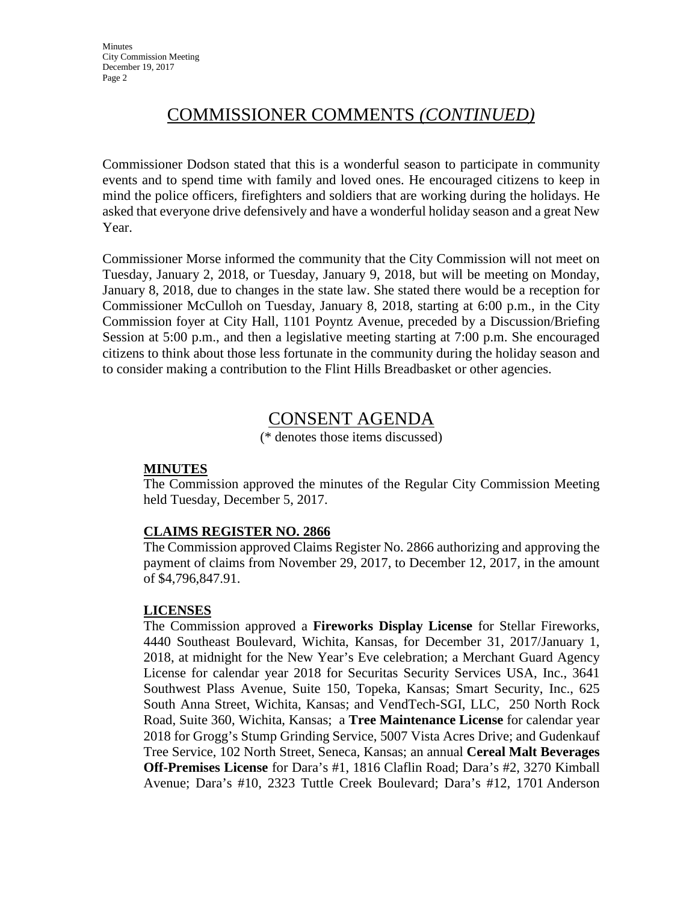# COMMISSIONER COMMENTS *(CONTINUED)*

Commissioner Dodson stated that this is a wonderful season to participate in community events and to spend time with family and loved ones. He encouraged citizens to keep in mind the police officers, firefighters and soldiers that are working during the holidays. He asked that everyone drive defensively and have a wonderful holiday season and a great New Year.

Commissioner Morse informed the community that the City Commission will not meet on Tuesday, January 2, 2018, or Tuesday, January 9, 2018, but will be meeting on Monday, January 8, 2018, due to changes in the state law. She stated there would be a reception for Commissioner McCulloh on Tuesday, January 8, 2018, starting at 6:00 p.m., in the City Commission foyer at City Hall, 1101 Poyntz Avenue, preceded by a Discussion/Briefing Session at 5:00 p.m., and then a legislative meeting starting at 7:00 p.m. She encouraged citizens to think about those less fortunate in the community during the holiday season and to consider making a contribution to the Flint Hills Breadbasket or other agencies.

# CONSENT AGENDA

(\* denotes those items discussed)

# **MINUTES**

The Commission approved the minutes of the Regular City Commission Meeting held Tuesday, December 5, 2017.

# **CLAIMS REGISTER NO. 2866**

The Commission approved Claims Register No. 2866 authorizing and approving the payment of claims from November 29, 2017, to December 12, 2017, in the amount of \$4,796,847.91.

# **LICENSES**

The Commission approved a **Fireworks Display License** for Stellar Fireworks, 4440 Southeast Boulevard, Wichita, Kansas, for December 31, 2017/January 1, 2018, at midnight for the New Year's Eve celebration; a Merchant Guard Agency License for calendar year 2018 for Securitas Security Services USA, Inc., 3641 Southwest Plass Avenue, Suite 150, Topeka, Kansas; Smart Security, Inc., 625 South Anna Street, Wichita, Kansas; and VendTech-SGI, LLC, 250 North Rock Road, Suite 360, Wichita, Kansas; a **Tree Maintenance License** for calendar year 2018 for Grogg's Stump Grinding Service, 5007 Vista Acres Drive; and Gudenkauf Tree Service, 102 North Street, Seneca, Kansas; an annual **Cereal Malt Beverages Off-Premises License** for Dara's #1, 1816 Claflin Road; Dara's #2, 3270 Kimball Avenue; Dara's #10, 2323 Tuttle Creek Boulevard; Dara's #12, 1701 Anderson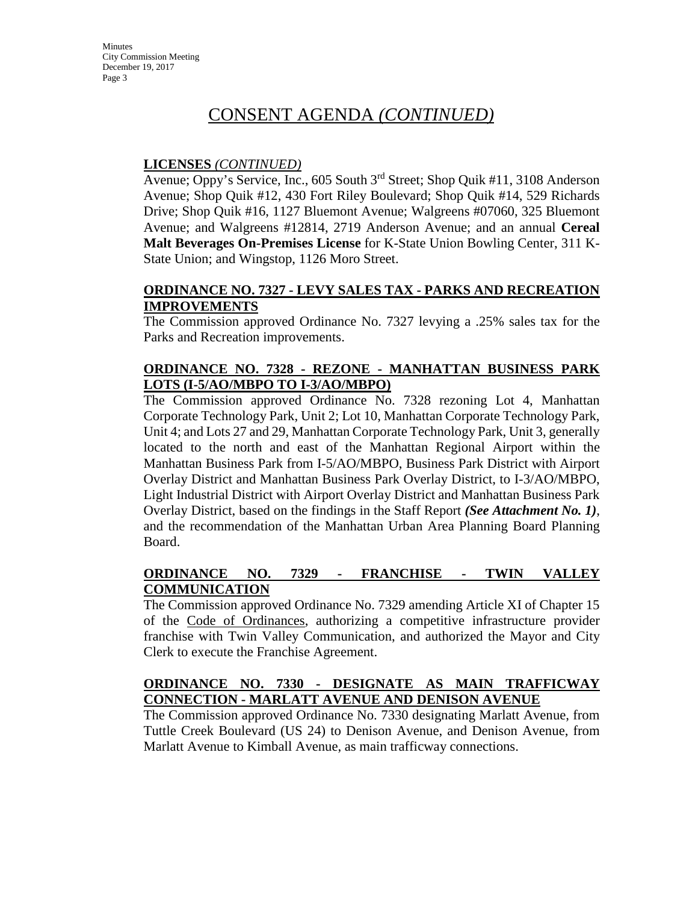# **LICENSES** *(CONTINUED)*

Avenue; Oppy's Service, Inc., 605 South 3rd Street; Shop Quik #11, 3108 Anderson Avenue; Shop Quik #12, 430 Fort Riley Boulevard; Shop Quik #14, 529 Richards Drive; Shop Quik #16, 1127 Bluemont Avenue; Walgreens #07060, 325 Bluemont Avenue; and Walgreens #12814, 2719 Anderson Avenue; and an annual **Cereal Malt Beverages On-Premises License** for K-State Union Bowling Center, 311 K-State Union; and Wingstop, 1126 Moro Street.

### **ORDINANCE NO. 7327 - LEVY SALES TAX - PARKS AND RECREATION IMPROVEMENTS**

The Commission approved Ordinance No. 7327 levying a .25% sales tax for the Parks and Recreation improvements.

# **ORDINANCE NO. 7328 - REZONE - MANHATTAN BUSINESS PARK LOTS (I-5/AO/MBPO TO I-3/AO/MBPO)**

The Commission approved Ordinance No. 7328 rezoning Lot 4, Manhattan Corporate Technology Park, Unit 2; Lot 10, Manhattan Corporate Technology Park, Unit 4; and Lots 27 and 29, Manhattan Corporate Technology Park, Unit 3, generally located to the north and east of the Manhattan Regional Airport within the Manhattan Business Park from I-5/AO/MBPO, Business Park District with Airport Overlay District and Manhattan Business Park Overlay District, to I-3/AO/MBPO, Light Industrial District with Airport Overlay District and Manhattan Business Park Overlay District, based on the findings in the Staff Report *(See Attachment No. 1)*, and the recommendation of the Manhattan Urban Area Planning Board Planning Board.

# **ORDINANCE NO. 7329 - FRANCHISE - TWIN VALLEY COMMUNICATION**

The Commission approved Ordinance No. 7329 amending Article XI of Chapter 15 of the Code of Ordinances, authorizing a competitive infrastructure provider franchise with Twin Valley Communication, and authorized the Mayor and City Clerk to execute the Franchise Agreement.

# **ORDINANCE NO. 7330 - DESIGNATE AS MAIN TRAFFICWAY CONNECTION - MARLATT AVENUE AND DENISON AVENUE**

The Commission approved Ordinance No. 7330 designating Marlatt Avenue, from Tuttle Creek Boulevard (US 24) to Denison Avenue, and Denison Avenue, from Marlatt Avenue to Kimball Avenue, as main trafficway connections.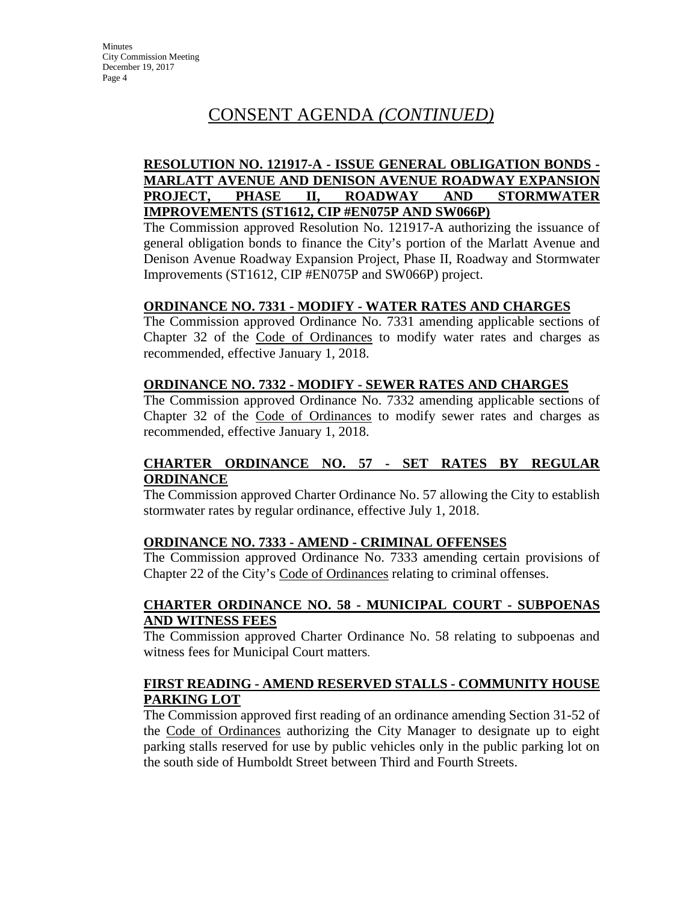### **RESOLUTION NO. 121917-A - ISSUE GENERAL OBLIGATION BONDS - MARLATT AVENUE AND DENISON AVENUE ROADWAY EXPANSION PROJECT, PHASE II, ROADWAY AND STORMWATER IMPROVEMENTS (ST1612, CIP #EN075P AND SW066P)**

The Commission approved Resolution No. 121917-A authorizing the issuance of general obligation bonds to finance the City's portion of the Marlatt Avenue and Denison Avenue Roadway Expansion Project, Phase II, Roadway and Stormwater Improvements (ST1612, CIP #EN075P and SW066P) project.

### **ORDINANCE NO. 7331 - MODIFY - WATER RATES AND CHARGES**

The Commission approved Ordinance No. 7331 amending applicable sections of Chapter 32 of the Code of Ordinances to modify water rates and charges as recommended, effective January 1, 2018.

#### **ORDINANCE NO. 7332 - MODIFY - SEWER RATES AND CHARGES**

The Commission approved Ordinance No. 7332 amending applicable sections of Chapter 32 of the Code of Ordinances to modify sewer rates and charges as recommended, effective January 1, 2018.

# **CHARTER ORDINANCE NO. 57 - SET RATES BY REGULAR ORDINANCE**

The Commission approved Charter Ordinance No. 57 allowing the City to establish stormwater rates by regular ordinance, effective July 1, 2018.

# **ORDINANCE NO. 7333 - AMEND - CRIMINAL OFFENSES**

The Commission approved Ordinance No. 7333 amending certain provisions of Chapter 22 of the City's Code of Ordinances relating to criminal offenses.

# **CHARTER ORDINANCE NO. 58 - MUNICIPAL COURT - SUBPOENAS AND WITNESS FEES**

The Commission approved Charter Ordinance No. 58 relating to subpoenas and witness fees for Municipal Court matters.

# **FIRST READING - AMEND RESERVED STALLS - COMMUNITY HOUSE PARKING LOT**

The Commission approved first reading of an ordinance amending Section 31-52 of the Code of Ordinances authorizing the City Manager to designate up to eight parking stalls reserved for use by public vehicles only in the public parking lot on the south side of Humboldt Street between Third and Fourth Streets.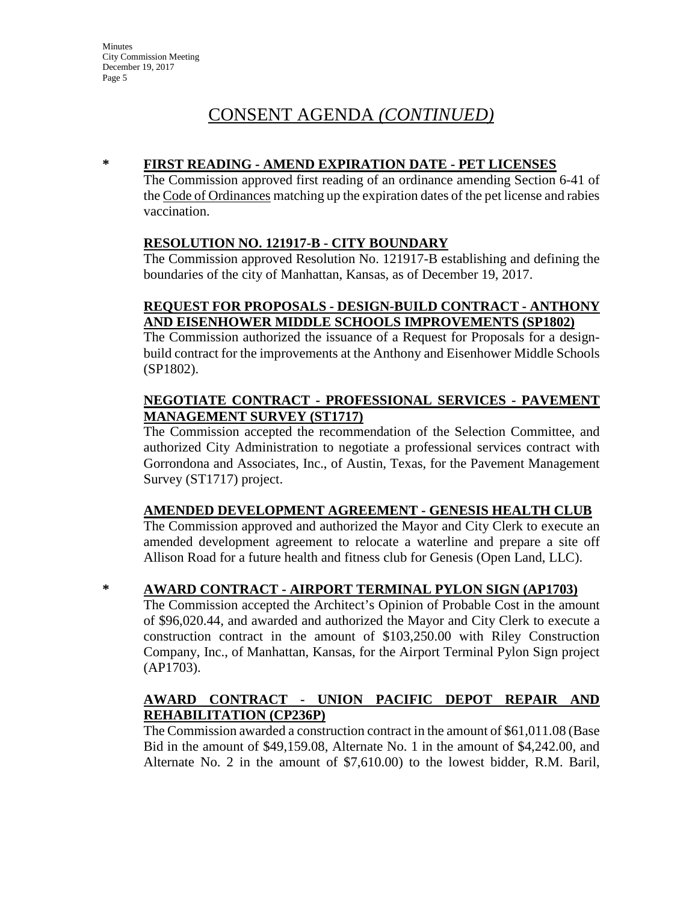# **\* FIRST READING - AMEND EXPIRATION DATE - PET LICENSES**

The Commission approved first reading of an ordinance amending Section 6-41 of the Code of Ordinances matching up the expiration dates of the pet license and rabies vaccination.

### **RESOLUTION NO. 121917-B - CITY BOUNDARY**

The Commission approved Resolution No. 121917-B establishing and defining the boundaries of the city of Manhattan, Kansas, as of December 19, 2017.

# **REQUEST FOR PROPOSALS - DESIGN-BUILD CONTRACT - ANTHONY AND EISENHOWER MIDDLE SCHOOLS IMPROVEMENTS (SP1802)**

The Commission authorized the issuance of a Request for Proposals for a designbuild contract for the improvements at the Anthony and Eisenhower Middle Schools (SP1802).

# **NEGOTIATE CONTRACT - PROFESSIONAL SERVICES - PAVEMENT MANAGEMENT SURVEY (ST1717)**

The Commission accepted the recommendation of the Selection Committee, and authorized City Administration to negotiate a professional services contract with Gorrondona and Associates, Inc., of Austin, Texas, for the Pavement Management Survey (ST1717) project.

# **AMENDED DEVELOPMENT AGREEMENT - GENESIS HEALTH CLUB**

The Commission approved and authorized the Mayor and City Clerk to execute an amended development agreement to relocate a waterline and prepare a site off Allison Road for a future health and fitness club for Genesis (Open Land, LLC).

# **\* AWARD CONTRACT - AIRPORT TERMINAL PYLON SIGN (AP1703)**

The Commission accepted the Architect's Opinion of Probable Cost in the amount of \$96,020.44, and awarded and authorized the Mayor and City Clerk to execute a construction contract in the amount of \$103,250.00 with Riley Construction Company, Inc., of Manhattan, Kansas, for the Airport Terminal Pylon Sign project (AP1703).

# **AWARD CONTRACT - UNION PACIFIC DEPOT REPAIR AND REHABILITATION (CP236P)**

The Commission awarded a construction contract in the amount of \$61,011.08 (Base Bid in the amount of \$49,159.08, Alternate No. 1 in the amount of \$4,242.00, and Alternate No. 2 in the amount of \$7,610.00) to the lowest bidder, R.M. Baril,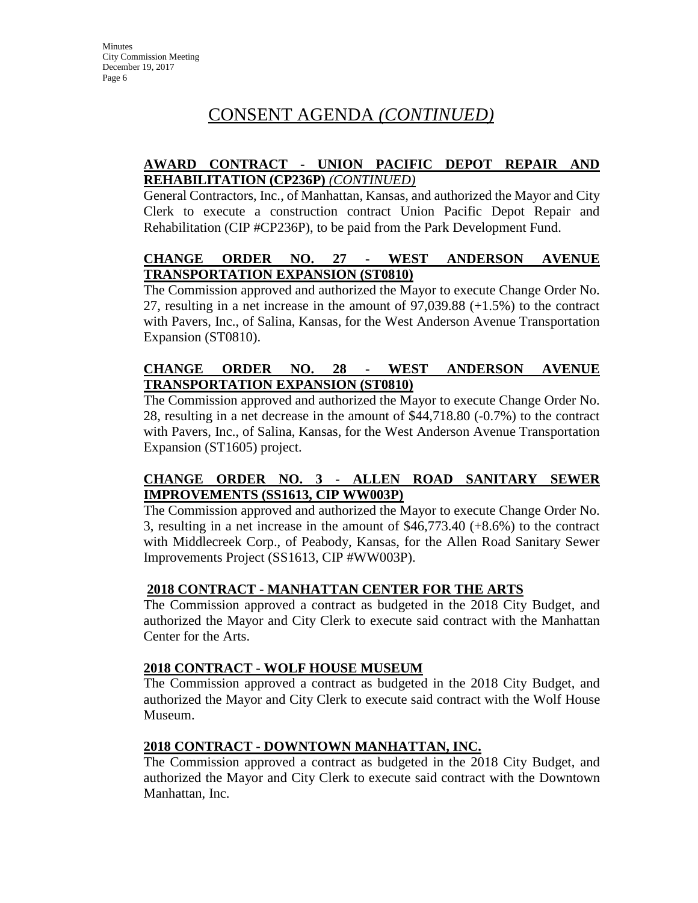# **AWARD CONTRACT - UNION PACIFIC DEPOT REPAIR AND REHABILITATION (CP236P)** *(CONTINUED)*

General Contractors, Inc., of Manhattan, Kansas, and authorized the Mayor and City Clerk to execute a construction contract Union Pacific Depot Repair and Rehabilitation (CIP #CP236P), to be paid from the Park Development Fund.

# **CHANGE ORDER NO. 27 - WEST ANDERSON AVENUE TRANSPORTATION EXPANSION (ST0810)**

The Commission approved and authorized the Mayor to execute Change Order No. 27, resulting in a net increase in the amount of 97,039.88 (+1.5%) to the contract with Pavers, Inc., of Salina, Kansas, for the West Anderson Avenue Transportation Expansion (ST0810).

# **CHANGE ORDER NO. 28 - WEST ANDERSON AVENUE TRANSPORTATION EXPANSION (ST0810)**

The Commission approved and authorized the Mayor to execute Change Order No. 28, resulting in a net decrease in the amount of \$44,718.80 (-0.7%) to the contract with Pavers, Inc., of Salina, Kansas, for the West Anderson Avenue Transportation Expansion (ST1605) project.

# **CHANGE ORDER NO. 3 - ALLEN ROAD SANITARY SEWER IMPROVEMENTS (SS1613, CIP WW003P)**

The Commission approved and authorized the Mayor to execute Change Order No. 3, resulting in a net increase in the amount of \$46,773.40 (+8.6%) to the contract with Middlecreek Corp., of Peabody, Kansas, for the Allen Road Sanitary Sewer Improvements Project (SS1613, CIP #WW003P).

# **2018 CONTRACT - MANHATTAN CENTER FOR THE ARTS**

The Commission approved a contract as budgeted in the 2018 City Budget, and authorized the Mayor and City Clerk to execute said contract with the Manhattan Center for the Arts.

# **2018 CONTRACT - WOLF HOUSE MUSEUM**

The Commission approved a contract as budgeted in the 2018 City Budget, and authorized the Mayor and City Clerk to execute said contract with the Wolf House Museum.

# **2018 CONTRACT - DOWNTOWN MANHATTAN, INC.**

The Commission approved a contract as budgeted in the 2018 City Budget, and authorized the Mayor and City Clerk to execute said contract with the Downtown Manhattan, Inc.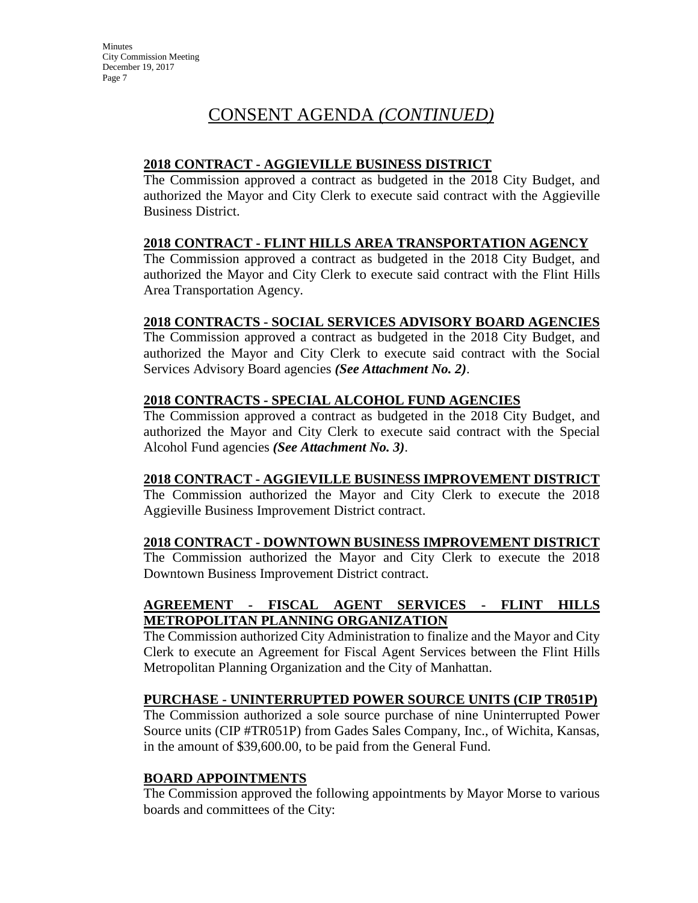# **2018 CONTRACT - AGGIEVILLE BUSINESS DISTRICT**

The Commission approved a contract as budgeted in the 2018 City Budget, and authorized the Mayor and City Clerk to execute said contract with the Aggieville Business District.

# **2018 CONTRACT - FLINT HILLS AREA TRANSPORTATION AGENCY**

The Commission approved a contract as budgeted in the 2018 City Budget, and authorized the Mayor and City Clerk to execute said contract with the Flint Hills Area Transportation Agency.

# **2018 CONTRACTS - SOCIAL SERVICES ADVISORY BOARD AGENCIES**

The Commission approved a contract as budgeted in the 2018 City Budget, and authorized the Mayor and City Clerk to execute said contract with the Social Services Advisory Board agencies *(See Attachment No. 2)*.

# **2018 CONTRACTS - SPECIAL ALCOHOL FUND AGENCIES**

The Commission approved a contract as budgeted in the 2018 City Budget, and authorized the Mayor and City Clerk to execute said contract with the Special Alcohol Fund agencies *(See Attachment No. 3)*.

# **2018 CONTRACT - AGGIEVILLE BUSINESS IMPROVEMENT DISTRICT**

The Commission authorized the Mayor and City Clerk to execute the 2018 Aggieville Business Improvement District contract.

# **2018 CONTRACT - DOWNTOWN BUSINESS IMPROVEMENT DISTRICT**

The Commission authorized the Mayor and City Clerk to execute the 2018 Downtown Business Improvement District contract.

# **AGREEMENT - FISCAL AGENT SERVICES - FLINT HILLS METROPOLITAN PLANNING ORGANIZATION**

The Commission authorized City Administration to finalize and the Mayor and City Clerk to execute an Agreement for Fiscal Agent Services between the Flint Hills Metropolitan Planning Organization and the City of Manhattan.

# **PURCHASE - UNINTERRUPTED POWER SOURCE UNITS (CIP TR051P)**

The Commission authorized a sole source purchase of nine Uninterrupted Power Source units (CIP #TR051P) from Gades Sales Company, Inc., of Wichita, Kansas, in the amount of \$39,600.00, to be paid from the General Fund.

# **BOARD APPOINTMENTS**

The Commission approved the following appointments by Mayor Morse to various boards and committees of the City: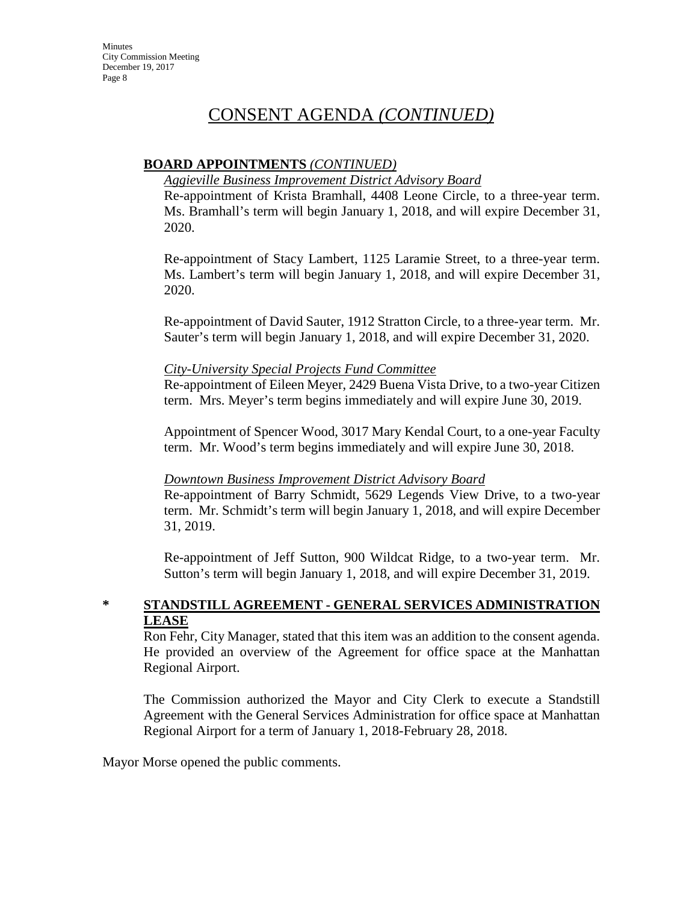# **BOARD APPOINTMENTS** *(CONTINUED)*

### *Aggieville Business Improvement District Advisory Board*

Re-appointment of Krista Bramhall, 4408 Leone Circle, to a three-year term. Ms. Bramhall's term will begin January 1, 2018, and will expire December 31, 2020.

Re-appointment of Stacy Lambert, 1125 Laramie Street, to a three-year term. Ms. Lambert's term will begin January 1, 2018, and will expire December 31, 2020.

Re-appointment of David Sauter, 1912 Stratton Circle, to a three-year term. Mr. Sauter's term will begin January 1, 2018, and will expire December 31, 2020.

### *City-University Special Projects Fund Committee*

Re-appointment of Eileen Meyer, 2429 Buena Vista Drive, to a two-year Citizen term. Mrs. Meyer's term begins immediately and will expire June 30, 2019.

Appointment of Spencer Wood, 3017 Mary Kendal Court, to a one-year Faculty term. Mr. Wood's term begins immediately and will expire June 30, 2018.

# *Downtown Business Improvement District Advisory Board*

Re-appointment of Barry Schmidt, 5629 Legends View Drive, to a two-year term. Mr. Schmidt's term will begin January 1, 2018, and will expire December 31, 2019.

Re-appointment of Jeff Sutton, 900 Wildcat Ridge, to a two-year term. Mr. Sutton's term will begin January 1, 2018, and will expire December 31, 2019.

# **\* STANDSTILL AGREEMENT - GENERAL SERVICES ADMINISTRATION LEASE**

Ron Fehr, City Manager, stated that this item was an addition to the consent agenda. He provided an overview of the Agreement for office space at the Manhattan Regional Airport.

The Commission authorized the Mayor and City Clerk to execute a Standstill Agreement with the General Services Administration for office space at Manhattan Regional Airport for a term of January 1, 2018-February 28, 2018.

Mayor Morse opened the public comments.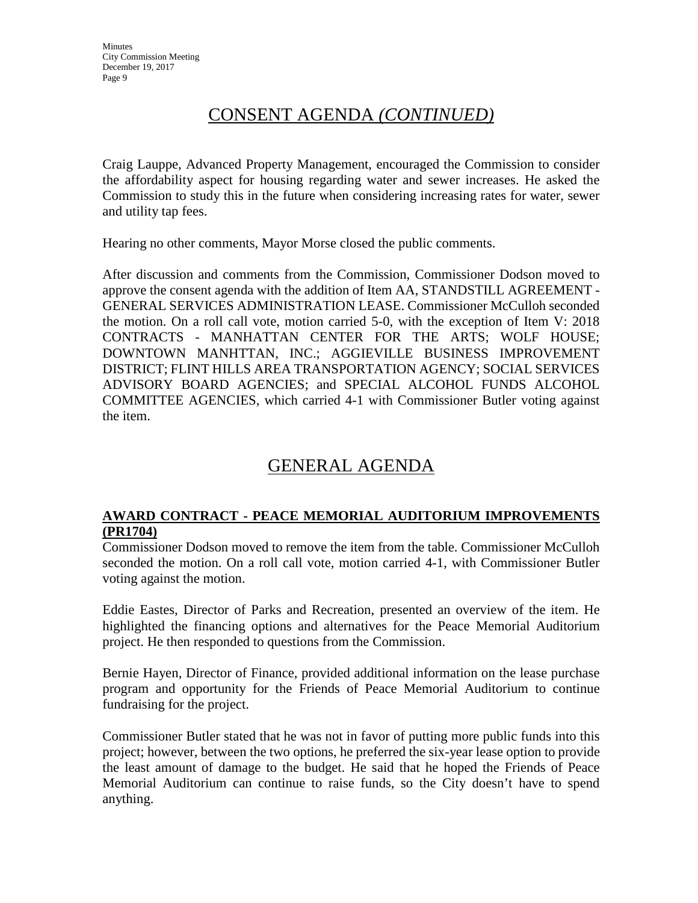Craig Lauppe, Advanced Property Management, encouraged the Commission to consider the affordability aspect for housing regarding water and sewer increases. He asked the Commission to study this in the future when considering increasing rates for water, sewer and utility tap fees.

Hearing no other comments, Mayor Morse closed the public comments.

After discussion and comments from the Commission, Commissioner Dodson moved to approve the consent agenda with the addition of Item AA, STANDSTILL AGREEMENT - GENERAL SERVICES ADMINISTRATION LEASE. Commissioner McCulloh seconded the motion. On a roll call vote, motion carried 5-0, with the exception of Item V: 2018 CONTRACTS - MANHATTAN CENTER FOR THE ARTS; WOLF HOUSE; DOWNTOWN MANHTTAN, INC.; AGGIEVILLE BUSINESS IMPROVEMENT DISTRICT; FLINT HILLS AREA TRANSPORTATION AGENCY; SOCIAL SERVICES ADVISORY BOARD AGENCIES; and SPECIAL ALCOHOL FUNDS ALCOHOL COMMITTEE AGENCIES, which carried 4-1 with Commissioner Butler voting against the item.

# GENERAL AGENDA

# **AWARD CONTRACT - PEACE MEMORIAL AUDITORIUM IMPROVEMENTS (PR1704)**

Commissioner Dodson moved to remove the item from the table. Commissioner McCulloh seconded the motion. On a roll call vote, motion carried 4-1, with Commissioner Butler voting against the motion.

Eddie Eastes, Director of Parks and Recreation, presented an overview of the item. He highlighted the financing options and alternatives for the Peace Memorial Auditorium project. He then responded to questions from the Commission.

Bernie Hayen, Director of Finance, provided additional information on the lease purchase program and opportunity for the Friends of Peace Memorial Auditorium to continue fundraising for the project.

Commissioner Butler stated that he was not in favor of putting more public funds into this project; however, between the two options, he preferred the six-year lease option to provide the least amount of damage to the budget. He said that he hoped the Friends of Peace Memorial Auditorium can continue to raise funds, so the City doesn't have to spend anything.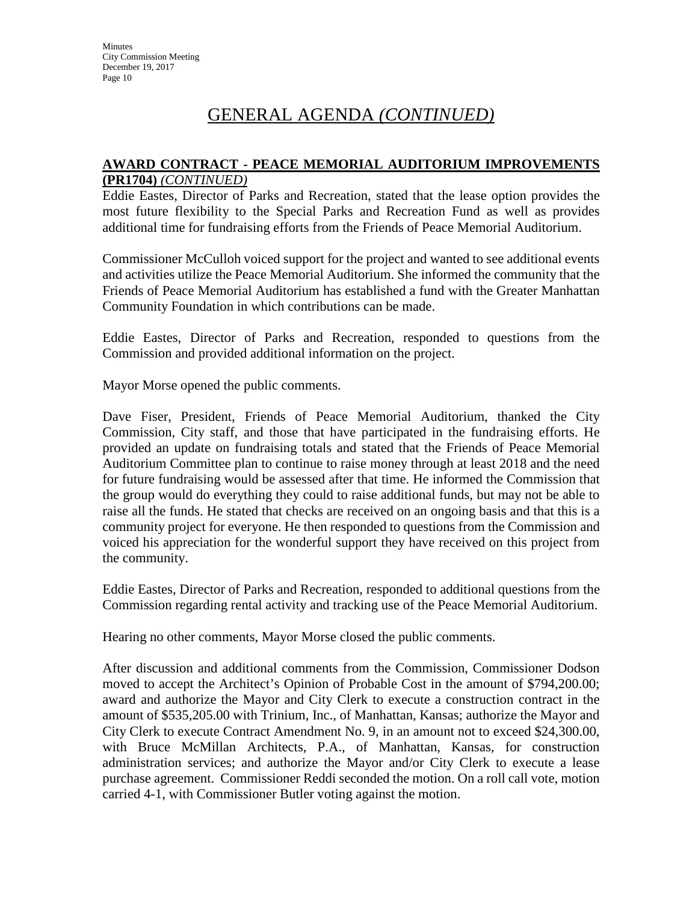# GENERAL AGENDA *(CONTINUED)*

#### **AWARD CONTRACT - PEACE MEMORIAL AUDITORIUM IMPROVEMENTS (PR1704)** *(CONTINUED)*

Eddie Eastes, Director of Parks and Recreation, stated that the lease option provides the most future flexibility to the Special Parks and Recreation Fund as well as provides additional time for fundraising efforts from the Friends of Peace Memorial Auditorium.

Commissioner McCulloh voiced support for the project and wanted to see additional events and activities utilize the Peace Memorial Auditorium. She informed the community that the Friends of Peace Memorial Auditorium has established a fund with the Greater Manhattan Community Foundation in which contributions can be made.

Eddie Eastes, Director of Parks and Recreation, responded to questions from the Commission and provided additional information on the project.

Mayor Morse opened the public comments.

Dave Fiser, President, Friends of Peace Memorial Auditorium, thanked the City Commission, City staff, and those that have participated in the fundraising efforts. He provided an update on fundraising totals and stated that the Friends of Peace Memorial Auditorium Committee plan to continue to raise money through at least 2018 and the need for future fundraising would be assessed after that time. He informed the Commission that the group would do everything they could to raise additional funds, but may not be able to raise all the funds. He stated that checks are received on an ongoing basis and that this is a community project for everyone. He then responded to questions from the Commission and voiced his appreciation for the wonderful support they have received on this project from the community.

Eddie Eastes, Director of Parks and Recreation, responded to additional questions from the Commission regarding rental activity and tracking use of the Peace Memorial Auditorium.

Hearing no other comments, Mayor Morse closed the public comments.

After discussion and additional comments from the Commission, Commissioner Dodson moved to accept the Architect's Opinion of Probable Cost in the amount of \$794,200.00; award and authorize the Mayor and City Clerk to execute a construction contract in the amount of \$535,205.00 with Trinium, Inc., of Manhattan, Kansas; authorize the Mayor and City Clerk to execute Contract Amendment No. 9, in an amount not to exceed \$24,300.00, with Bruce McMillan Architects, P.A., of Manhattan, Kansas, for construction administration services; and authorize the Mayor and/or City Clerk to execute a lease purchase agreement. Commissioner Reddi seconded the motion. On a roll call vote, motion carried 4-1, with Commissioner Butler voting against the motion.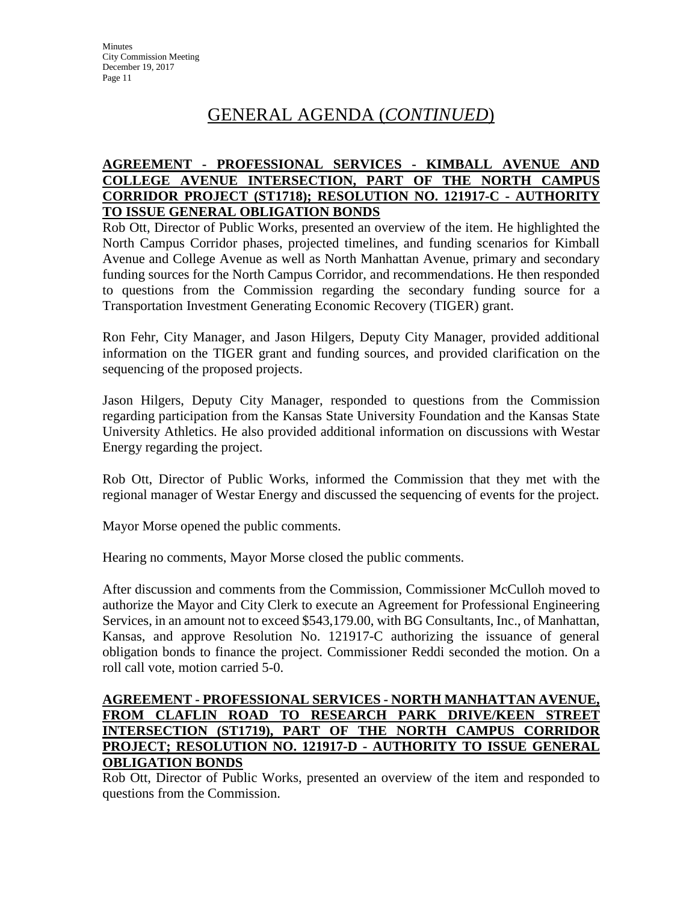# GENERAL AGENDA (*CONTINUED*)

### **AGREEMENT - PROFESSIONAL SERVICES - KIMBALL AVENUE AND COLLEGE AVENUE INTERSECTION, PART OF THE NORTH CAMPUS CORRIDOR PROJECT (ST1718); RESOLUTION NO. 121917-C - AUTHORITY TO ISSUE GENERAL OBLIGATION BONDS**

Rob Ott, Director of Public Works, presented an overview of the item. He highlighted the North Campus Corridor phases, projected timelines, and funding scenarios for Kimball Avenue and College Avenue as well as North Manhattan Avenue, primary and secondary funding sources for the North Campus Corridor, and recommendations. He then responded to questions from the Commission regarding the secondary funding source for a Transportation Investment Generating Economic Recovery (TIGER) grant.

Ron Fehr, City Manager, and Jason Hilgers, Deputy City Manager, provided additional information on the TIGER grant and funding sources, and provided clarification on the sequencing of the proposed projects.

Jason Hilgers, Deputy City Manager, responded to questions from the Commission regarding participation from the Kansas State University Foundation and the Kansas State University Athletics. He also provided additional information on discussions with Westar Energy regarding the project.

Rob Ott, Director of Public Works, informed the Commission that they met with the regional manager of Westar Energy and discussed the sequencing of events for the project.

Mayor Morse opened the public comments.

Hearing no comments, Mayor Morse closed the public comments.

After discussion and comments from the Commission, Commissioner McCulloh moved to authorize the Mayor and City Clerk to execute an Agreement for Professional Engineering Services, in an amount not to exceed \$543,179.00, with BG Consultants, Inc., of Manhattan, Kansas, and approve Resolution No. 121917-C authorizing the issuance of general obligation bonds to finance the project. Commissioner Reddi seconded the motion. On a roll call vote, motion carried 5-0.

# **AGREEMENT - PROFESSIONAL SERVICES - NORTH MANHATTAN AVENUE, FROM CLAFLIN ROAD TO RESEARCH PARK DRIVE/KEEN STREET INTERSECTION (ST1719), PART OF THE NORTH CAMPUS CORRIDOR PROJECT; RESOLUTION NO. 121917-D - AUTHORITY TO ISSUE GENERAL OBLIGATION BONDS**

Rob Ott, Director of Public Works, presented an overview of the item and responded to questions from the Commission.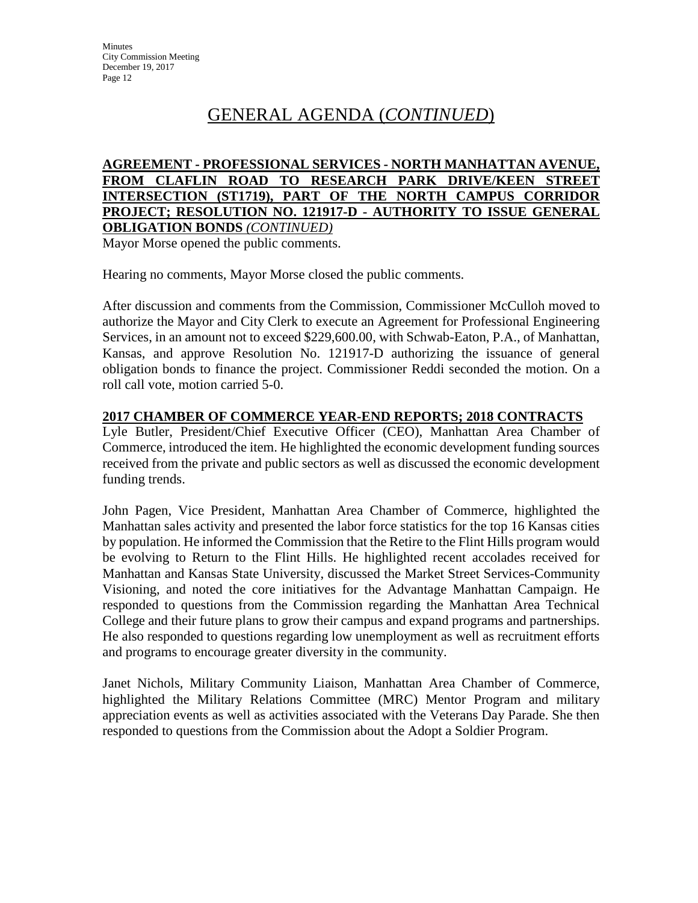# GENERAL AGENDA (*CONTINUED*)

#### **AGREEMENT - PROFESSIONAL SERVICES - NORTH MANHATTAN AVENUE, FROM CLAFLIN ROAD TO RESEARCH PARK DRIVE/KEEN STREET INTERSECTION (ST1719), PART OF THE NORTH CAMPUS CORRIDOR PROJECT; RESOLUTION NO. 121917-D - AUTHORITY TO ISSUE GENERAL OBLIGATION BONDS** *(CONTINUED)*

Mayor Morse opened the public comments.

Hearing no comments, Mayor Morse closed the public comments.

After discussion and comments from the Commission, Commissioner McCulloh moved to authorize the Mayor and City Clerk to execute an Agreement for Professional Engineering Services, in an amount not to exceed \$229,600.00, with Schwab-Eaton, P.A., of Manhattan, Kansas, and approve Resolution No. 121917-D authorizing the issuance of general obligation bonds to finance the project. Commissioner Reddi seconded the motion. On a roll call vote, motion carried 5-0.

### **2017 CHAMBER OF COMMERCE YEAR-END REPORTS; 2018 CONTRACTS**

Lyle Butler, President/Chief Executive Officer (CEO), Manhattan Area Chamber of Commerce, introduced the item. He highlighted the economic development funding sources received from the private and public sectors as well as discussed the economic development funding trends.

John Pagen, Vice President, Manhattan Area Chamber of Commerce, highlighted the Manhattan sales activity and presented the labor force statistics for the top 16 Kansas cities by population. He informed the Commission that the Retire to the Flint Hills program would be evolving to Return to the Flint Hills. He highlighted recent accolades received for Manhattan and Kansas State University, discussed the Market Street Services-Community Visioning, and noted the core initiatives for the Advantage Manhattan Campaign. He responded to questions from the Commission regarding the Manhattan Area Technical College and their future plans to grow their campus and expand programs and partnerships. He also responded to questions regarding low unemployment as well as recruitment efforts and programs to encourage greater diversity in the community.

Janet Nichols, Military Community Liaison, Manhattan Area Chamber of Commerce, highlighted the Military Relations Committee (MRC) Mentor Program and military appreciation events as well as activities associated with the Veterans Day Parade. She then responded to questions from the Commission about the Adopt a Soldier Program.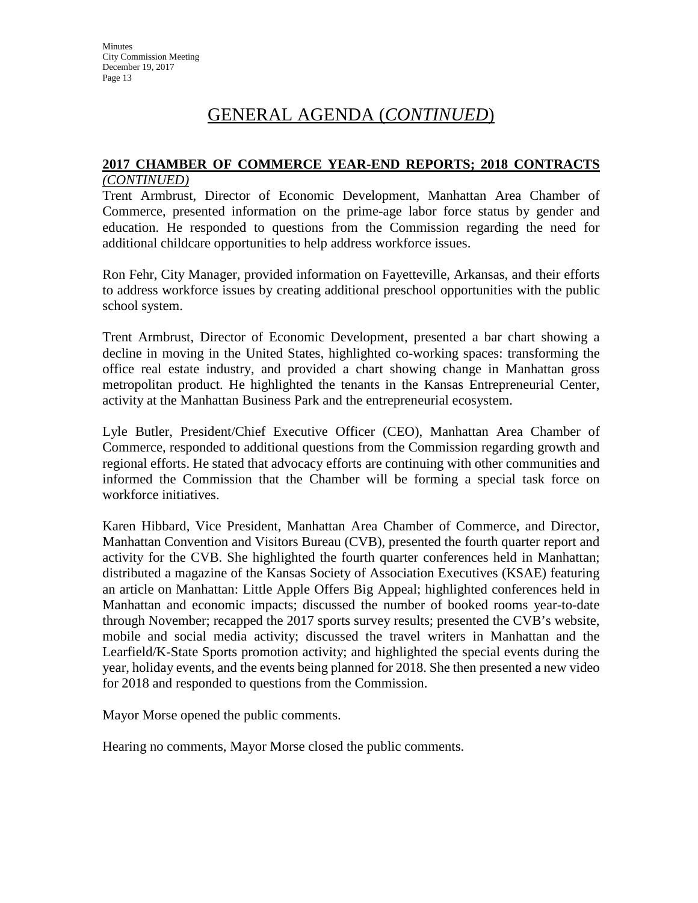# GENERAL AGENDA (*CONTINUED*)

#### **2017 CHAMBER OF COMMERCE YEAR-END REPORTS; 2018 CONTRACTS** *(CONTINUED)*

Trent Armbrust, Director of Economic Development, Manhattan Area Chamber of Commerce, presented information on the prime-age labor force status by gender and education. He responded to questions from the Commission regarding the need for additional childcare opportunities to help address workforce issues.

Ron Fehr, City Manager, provided information on Fayetteville, Arkansas, and their efforts to address workforce issues by creating additional preschool opportunities with the public school system.

Trent Armbrust, Director of Economic Development, presented a bar chart showing a decline in moving in the United States, highlighted co-working spaces: transforming the office real estate industry, and provided a chart showing change in Manhattan gross metropolitan product. He highlighted the tenants in the Kansas Entrepreneurial Center, activity at the Manhattan Business Park and the entrepreneurial ecosystem.

Lyle Butler, President/Chief Executive Officer (CEO), Manhattan Area Chamber of Commerce, responded to additional questions from the Commission regarding growth and regional efforts. He stated that advocacy efforts are continuing with other communities and informed the Commission that the Chamber will be forming a special task force on workforce initiatives.

Karen Hibbard, Vice President, Manhattan Area Chamber of Commerce, and Director, Manhattan Convention and Visitors Bureau (CVB), presented the fourth quarter report and activity for the CVB. She highlighted the fourth quarter conferences held in Manhattan; distributed a magazine of the Kansas Society of Association Executives (KSAE) featuring an article on Manhattan: Little Apple Offers Big Appeal; highlighted conferences held in Manhattan and economic impacts; discussed the number of booked rooms year-to-date through November; recapped the 2017 sports survey results; presented the CVB's website, mobile and social media activity; discussed the travel writers in Manhattan and the Learfield/K-State Sports promotion activity; and highlighted the special events during the year, holiday events, and the events being planned for 2018. She then presented a new video for 2018 and responded to questions from the Commission.

Mayor Morse opened the public comments.

Hearing no comments, Mayor Morse closed the public comments.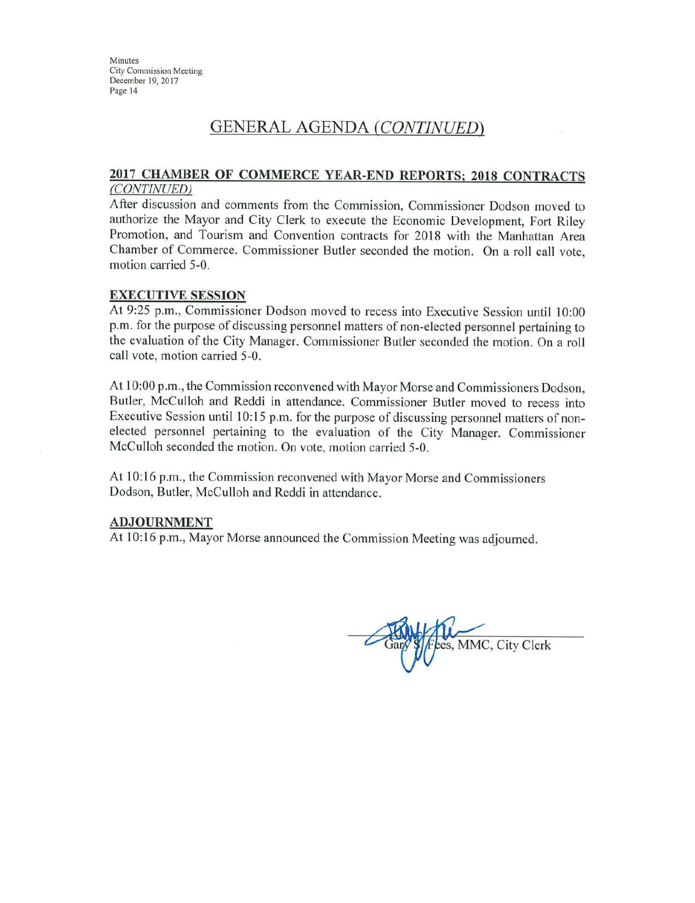# **GENERAL AGENDA (CONTINUED)**

#### 2017 CHAMBER OF COMMERCE YEAR-END REPORTS; 2018 CONTRACTS (CONTINUED)

After discussion and comments from the Commission, Commissioner Dodson moved to authorize the Mayor and City Clerk to execute the Economic Development, Fort Riley Promotion, and Tourism and Convention contracts for 2018 with the Manhattan Area Chamber of Commerce. Commissioner Butler seconded the motion. On a roll call vote, motion carried 5-0.

#### **EXECUTIVE SESSION**

At 9:25 p.m., Commissioner Dodson moved to recess into Executive Session until 10:00 p.m. for the purpose of discussing personnel matters of non-elected personnel pertaining to the evaluation of the City Manager. Commissioner Butler seconded the motion. On a roll call vote, motion carried 5-0.

At 10:00 p.m., the Commission reconvened with Mayor Morse and Commissioners Dodson, Butler, McCulloh and Reddi in attendance. Commissioner Butler moved to recess into Executive Session until 10:15 p.m. for the purpose of discussing personnel matters of nonelected personnel pertaining to the evaluation of the City Manager. Commissioner McCulloh seconded the motion. On vote, motion carried 5-0.

At 10:16 p.m., the Commission reconvened with Mayor Morse and Commissioners Dodson, Butler, McCulloh and Reddi in attendance.

#### **ADJOURNMENT**

At 10:16 p.m., Mayor Morse announced the Commission Meeting was adjourned.

es, MMC, City Clerk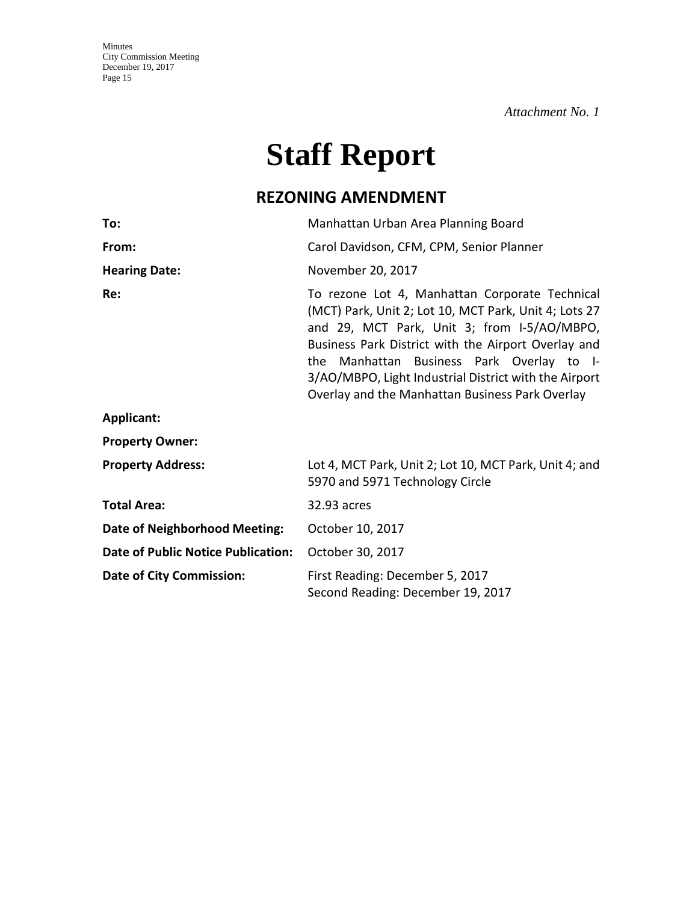*Attachment No. 1*

# **Staff Report**

# **REZONING AMENDMENT**

| To:                                       | Manhattan Urban Area Planning Board                                                                                                                                                                                                                                                                                                                                    |  |
|-------------------------------------------|------------------------------------------------------------------------------------------------------------------------------------------------------------------------------------------------------------------------------------------------------------------------------------------------------------------------------------------------------------------------|--|
| From:                                     | Carol Davidson, CFM, CPM, Senior Planner                                                                                                                                                                                                                                                                                                                               |  |
| <b>Hearing Date:</b>                      | November 20, 2017                                                                                                                                                                                                                                                                                                                                                      |  |
| Re:                                       | To rezone Lot 4, Manhattan Corporate Technical<br>(MCT) Park, Unit 2; Lot 10, MCT Park, Unit 4; Lots 27<br>and 29, MCT Park, Unit 3; from I-5/AO/MBPO,<br>Business Park District with the Airport Overlay and<br>the Manhattan Business Park Overlay to I-<br>3/AO/MBPO, Light Industrial District with the Airport<br>Overlay and the Manhattan Business Park Overlay |  |
| <b>Applicant:</b>                         |                                                                                                                                                                                                                                                                                                                                                                        |  |
| <b>Property Owner:</b>                    |                                                                                                                                                                                                                                                                                                                                                                        |  |
| <b>Property Address:</b>                  | Lot 4, MCT Park, Unit 2; Lot 10, MCT Park, Unit 4; and<br>5970 and 5971 Technology Circle                                                                                                                                                                                                                                                                              |  |
| <b>Total Area:</b>                        | 32.93 acres                                                                                                                                                                                                                                                                                                                                                            |  |
| <b>Date of Neighborhood Meeting:</b>      | October 10, 2017                                                                                                                                                                                                                                                                                                                                                       |  |
| <b>Date of Public Notice Publication:</b> | October 30, 2017                                                                                                                                                                                                                                                                                                                                                       |  |
| <b>Date of City Commission:</b>           | First Reading: December 5, 2017<br>Second Reading: December 19, 2017                                                                                                                                                                                                                                                                                                   |  |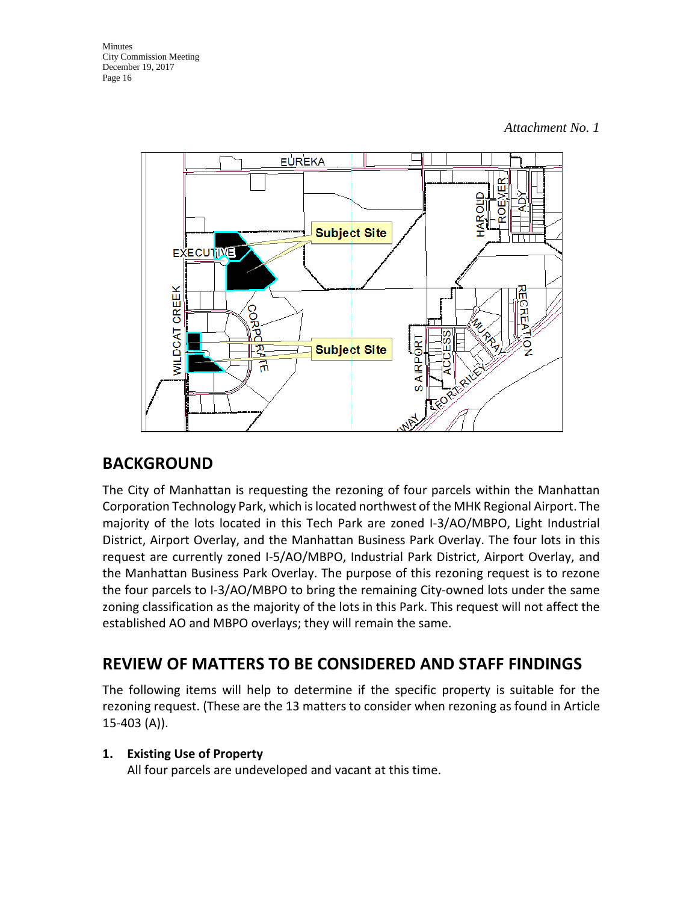

# **BACKGROUND**

The City of Manhattan is requesting the rezoning of four parcels within the Manhattan Corporation Technology Park, which is located northwest of the MHK Regional Airport. The majority of the lots located in this Tech Park are zoned I-3/AO/MBPO, Light Industrial District, Airport Overlay, and the Manhattan Business Park Overlay. The four lots in this request are currently zoned I-5/AO/MBPO, Industrial Park District, Airport Overlay, and the Manhattan Business Park Overlay. The purpose of this rezoning request is to rezone the four parcels to I-3/AO/MBPO to bring the remaining City-owned lots under the same zoning classification as the majority of the lots in this Park. This request will not affect the established AO and MBPO overlays; they will remain the same.

# **REVIEW OF MATTERS TO BE CONSIDERED AND STAFF FINDINGS**

The following items will help to determine if the specific property is suitable for the rezoning request. (These are the 13 matters to consider when rezoning as found in Article 15-403 (A)).

# **1. Existing Use of Property**

All four parcels are undeveloped and vacant at this time.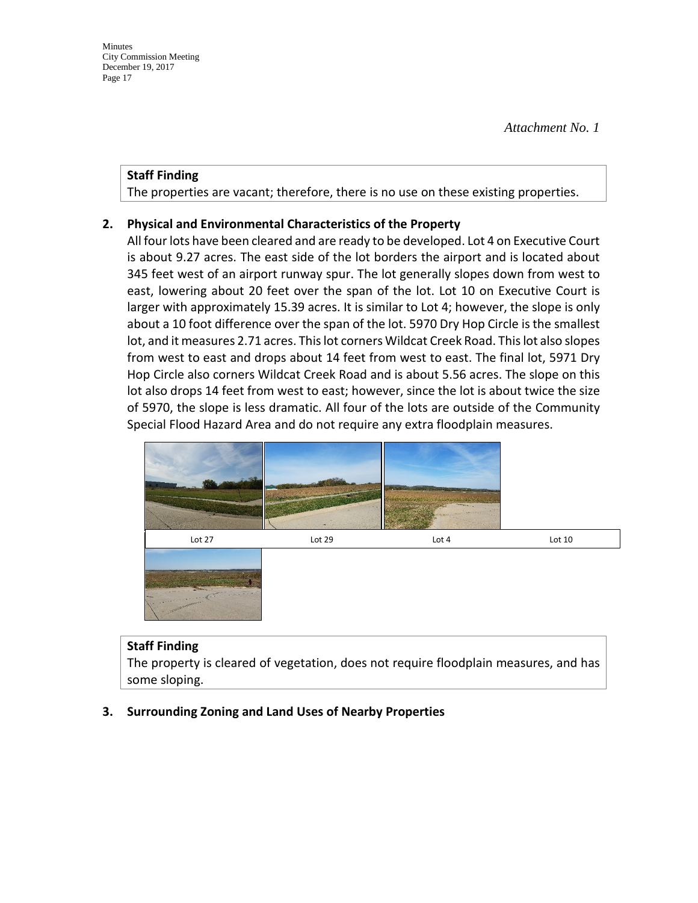#### **Staff Finding**

The properties are vacant; therefore, there is no use on these existing properties.

### **2. Physical and Environmental Characteristics of the Property**

All four lots have been cleared and are ready to be developed. Lot 4 on Executive Court is about 9.27 acres. The east side of the lot borders the airport and is located about 345 feet west of an airport runway spur. The lot generally slopes down from west to east, lowering about 20 feet over the span of the lot. Lot 10 on Executive Court is larger with approximately 15.39 acres. It is similar to Lot 4; however, the slope is only about a 10 foot difference over the span of the lot. 5970 Dry Hop Circle is the smallest lot, and it measures 2.71 acres. This lot corners Wildcat Creek Road. This lot also slopes from west to east and drops about 14 feet from west to east. The final lot, 5971 Dry Hop Circle also corners Wildcat Creek Road and is about 5.56 acres. The slope on this lot also drops 14 feet from west to east; however, since the lot is about twice the size of 5970, the slope is less dramatic. All four of the lots are outside of the Community Special Flood Hazard Area and do not require any extra floodplain measures.



#### **Staff Finding**

The property is cleared of vegetation, does not require floodplain measures, and has some sloping.

# **3. Surrounding Zoning and Land Uses of Nearby Properties**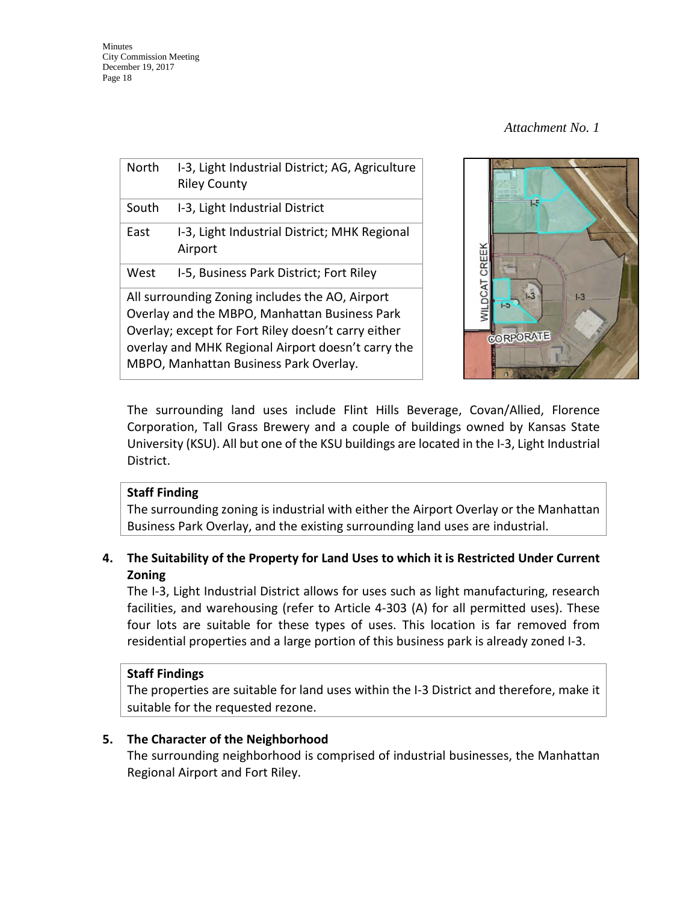| <b>North</b>                                                                                                                                                                                                                                            | I-3, Light Industrial District; AG, Agriculture<br><b>Riley County</b> |  |  |
|---------------------------------------------------------------------------------------------------------------------------------------------------------------------------------------------------------------------------------------------------------|------------------------------------------------------------------------|--|--|
| South                                                                                                                                                                                                                                                   | I-3, Light Industrial District                                         |  |  |
| East                                                                                                                                                                                                                                                    | I-3, Light Industrial District; MHK Regional<br>Airport                |  |  |
| West                                                                                                                                                                                                                                                    | I-5, Business Park District; Fort Riley                                |  |  |
| All surrounding Zoning includes the AO, Airport<br>Overlay and the MBPO, Manhattan Business Park<br>Overlay; except for Fort Riley doesn't carry either<br>overlay and MHK Regional Airport doesn't carry the<br>MBPO, Manhattan Business Park Overlay. |                                                                        |  |  |



The surrounding land uses include Flint Hills Beverage, Covan/Allied, Florence Corporation, Tall Grass Brewery and a couple of buildings owned by Kansas State University (KSU). All but one of the KSU buildings are located in the I-3, Light Industrial District.

# **Staff Finding**

The surrounding zoning is industrial with either the Airport Overlay or the Manhattan Business Park Overlay, and the existing surrounding land uses are industrial.

# **4. The Suitability of the Property for Land Uses to which it is Restricted Under Current Zoning**

The I-3, Light Industrial District allows for uses such as light manufacturing, research facilities, and warehousing (refer to Article 4-303 (A) for all permitted uses). These four lots are suitable for these types of uses. This location is far removed from residential properties and a large portion of this business park is already zoned I-3.

# **Staff Findings**

The properties are suitable for land uses within the I-3 District and therefore, make it suitable for the requested rezone.

# **5. The Character of the Neighborhood**

The surrounding neighborhood is comprised of industrial businesses, the Manhattan Regional Airport and Fort Riley.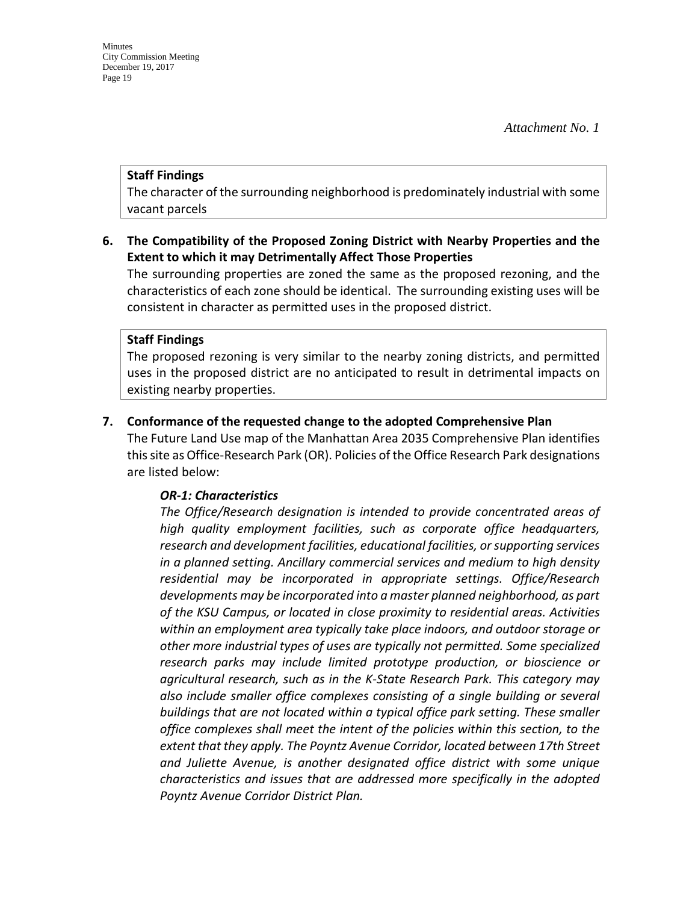#### **Staff Findings**

The character of the surrounding neighborhood is predominately industrial with some vacant parcels

### **6. The Compatibility of the Proposed Zoning District with Nearby Properties and the Extent to which it may Detrimentally Affect Those Properties**

The surrounding properties are zoned the same as the proposed rezoning, and the characteristics of each zone should be identical. The surrounding existing uses will be consistent in character as permitted uses in the proposed district.

#### **Staff Findings**

The proposed rezoning is very similar to the nearby zoning districts, and permitted uses in the proposed district are no anticipated to result in detrimental impacts on existing nearby properties.

### **7. Conformance of the requested change to the adopted Comprehensive Plan**

The Future Land Use map of the Manhattan Area 2035 Comprehensive Plan identifies this site as Office-Research Park (OR). Policies of the Office Research Park designations are listed below:

#### *OR-1: Characteristics*

*The Office/Research designation is intended to provide concentrated areas of high quality employment facilities, such as corporate office headquarters, research and development facilities, educational facilities, or supporting services in a planned setting. Ancillary commercial services and medium to high density residential may be incorporated in appropriate settings. Office/Research developments may be incorporated into a master planned neighborhood, as part of the KSU Campus, or located in close proximity to residential areas. Activities within an employment area typically take place indoors, and outdoor storage or other more industrial types of uses are typically not permitted. Some specialized research parks may include limited prototype production, or bioscience or agricultural research, such as in the K-State Research Park. This category may also include smaller office complexes consisting of a single building or several buildings that are not located within a typical office park setting. These smaller office complexes shall meet the intent of the policies within this section, to the*  extent that they apply. The Poyntz Avenue Corridor, located between 17th Street *and Juliette Avenue, is another designated office district with some unique characteristics and issues that are addressed more specifically in the adopted Poyntz Avenue Corridor District Plan.*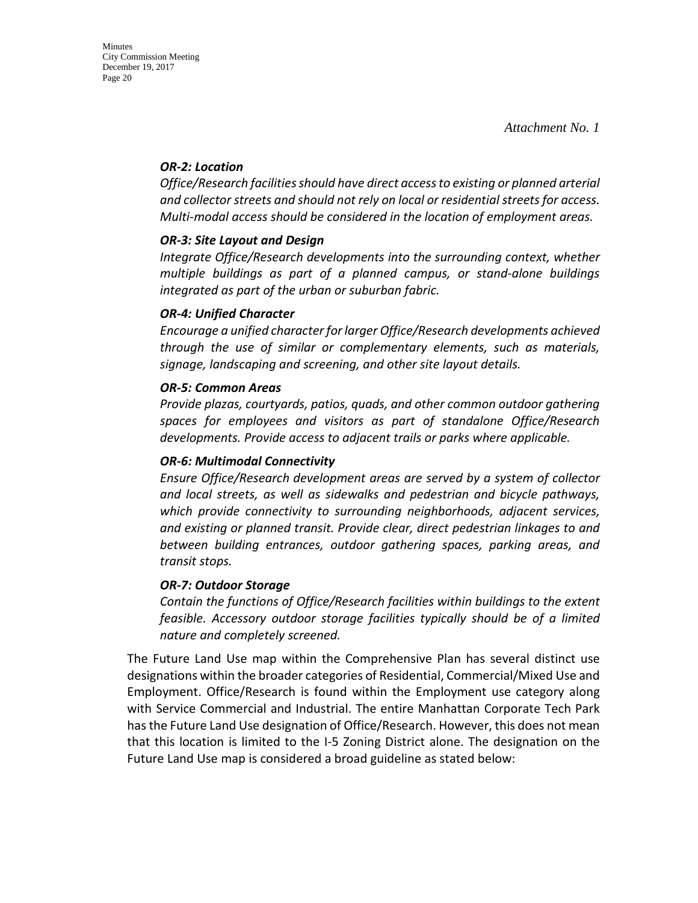#### *OR-2: Location*

*Office/Research facilities should have direct access to existing or planned arterial and collector streets and should not rely on local or residential streets for access. Multi-modal access should be considered in the location of employment areas.* 

### *OR-3: Site Layout and Design*

*Integrate Office/Research developments into the surrounding context, whether multiple buildings as part of a planned campus, or stand-alone buildings integrated as part of the urban or suburban fabric.*

#### *OR-4: Unified Character*

*Encourage a unified character for larger Office/Research developments achieved through the use of similar or complementary elements, such as materials, signage, landscaping and screening, and other site layout details.* 

### *OR-5: Common Areas*

*Provide plazas, courtyards, patios, quads, and other common outdoor gathering spaces for employees and visitors as part of standalone Office/Research developments. Provide access to adjacent trails or parks where applicable.* 

#### *OR-6: Multimodal Connectivity*

*Ensure Office/Research development areas are served by a system of collector and local streets, as well as sidewalks and pedestrian and bicycle pathways, which provide connectivity to surrounding neighborhoods, adjacent services, and existing or planned transit. Provide clear, direct pedestrian linkages to and between building entrances, outdoor gathering spaces, parking areas, and transit stops.* 

#### *OR-7: Outdoor Storage*

*Contain the functions of Office/Research facilities within buildings to the extent feasible. Accessory outdoor storage facilities typically should be of a limited nature and completely screened.*

The Future Land Use map within the Comprehensive Plan has several distinct use designations within the broader categories of Residential, Commercial/Mixed Use and Employment. Office/Research is found within the Employment use category along with Service Commercial and Industrial. The entire Manhattan Corporate Tech Park has the Future Land Use designation of Office/Research. However, this does not mean that this location is limited to the I-5 Zoning District alone. The designation on the Future Land Use map is considered a broad guideline as stated below: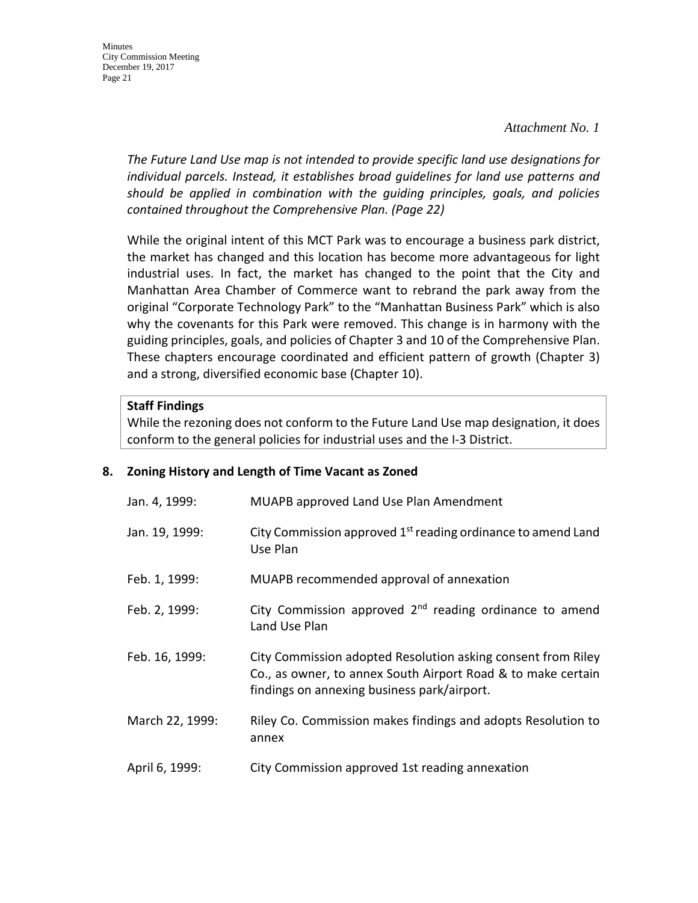**Minutes** City Commission Meeting December 19, 2017 Page 21

> *The Future Land Use map is not intended to provide specific land use designations for individual parcels. Instead, it establishes broad guidelines for land use patterns and should be applied in combination with the guiding principles, goals, and policies contained throughout the Comprehensive Plan. (Page 22)*

> While the original intent of this MCT Park was to encourage a business park district, the market has changed and this location has become more advantageous for light industrial uses. In fact, the market has changed to the point that the City and Manhattan Area Chamber of Commerce want to rebrand the park away from the original "Corporate Technology Park" to the "Manhattan Business Park" which is also why the covenants for this Park were removed. This change is in harmony with the guiding principles, goals, and policies of Chapter 3 and 10 of the Comprehensive Plan. These chapters encourage coordinated and efficient pattern of growth (Chapter 3) and a strong, diversified economic base (Chapter 10).

#### **Staff Findings**

While the rezoning does not conform to the Future Land Use map designation, it does conform to the general policies for industrial uses and the I-3 District.

#### **8. Zoning History and Length of Time Vacant as Zoned**

| Jan. 4, 1999:   | <b>MUAPB approved Land Use Plan Amendment</b>                                                                                                                               |
|-----------------|-----------------------------------------------------------------------------------------------------------------------------------------------------------------------------|
| Jan. 19, 1999:  | City Commission approved 1 <sup>st</sup> reading ordinance to amend Land<br>Use Plan                                                                                        |
| Feb. 1, 1999:   | MUAPB recommended approval of annexation                                                                                                                                    |
| Feb. 2, 1999:   | City Commission approved $2nd$ reading ordinance to amend<br>Land Use Plan                                                                                                  |
| Feb. 16, 1999:  | City Commission adopted Resolution asking consent from Riley<br>Co., as owner, to annex South Airport Road & to make certain<br>findings on annexing business park/airport. |
| March 22, 1999: | Riley Co. Commission makes findings and adopts Resolution to<br>annex                                                                                                       |
| April 6, 1999:  | City Commission approved 1st reading annexation                                                                                                                             |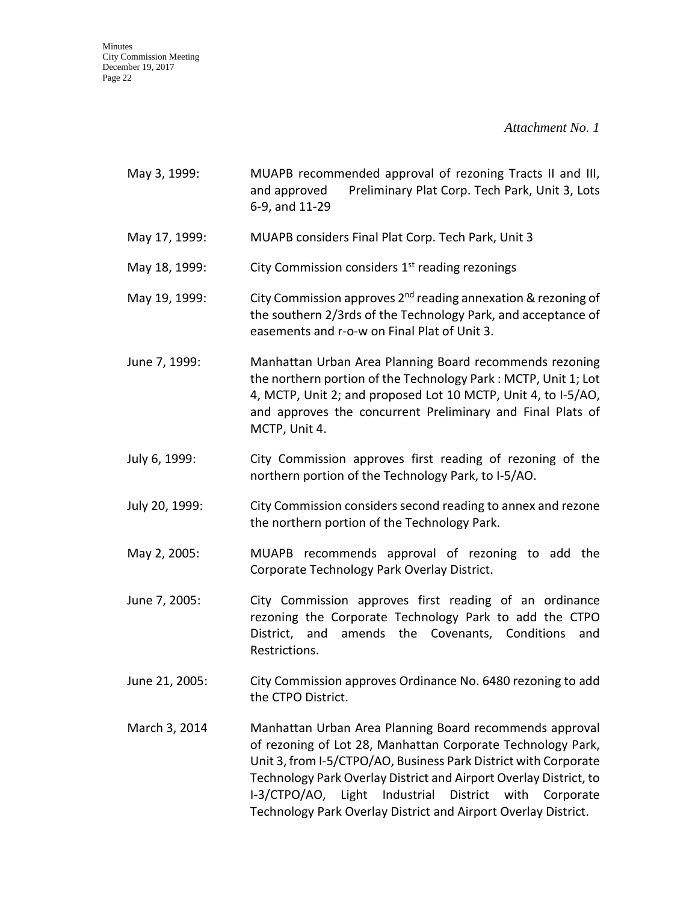*Attachment No. 1*

| May 3, 1999:   | MUAPB recommended approval of rezoning Tracts II and III,<br>Preliminary Plat Corp. Tech Park, Unit 3, Lots<br>and approved<br>6-9, and 11-29                                                                                                                                                                                                                                                         |
|----------------|-------------------------------------------------------------------------------------------------------------------------------------------------------------------------------------------------------------------------------------------------------------------------------------------------------------------------------------------------------------------------------------------------------|
| May 17, 1999:  | MUAPB considers Final Plat Corp. Tech Park, Unit 3                                                                                                                                                                                                                                                                                                                                                    |
| May 18, 1999:  | City Commission considers 1 <sup>st</sup> reading rezonings                                                                                                                                                                                                                                                                                                                                           |
| May 19, 1999:  | City Commission approves 2 <sup>nd</sup> reading annexation & rezoning of<br>the southern 2/3rds of the Technology Park, and acceptance of<br>easements and r-o-w on Final Plat of Unit 3.                                                                                                                                                                                                            |
| June 7, 1999:  | Manhattan Urban Area Planning Board recommends rezoning<br>the northern portion of the Technology Park: MCTP, Unit 1; Lot<br>4, MCTP, Unit 2; and proposed Lot 10 MCTP, Unit 4, to I-5/AO,<br>and approves the concurrent Preliminary and Final Plats of<br>MCTP, Unit 4.                                                                                                                             |
| July 6, 1999:  | City Commission approves first reading of rezoning of the<br>northern portion of the Technology Park, to I-5/AO.                                                                                                                                                                                                                                                                                      |
| July 20, 1999: | City Commission considers second reading to annex and rezone<br>the northern portion of the Technology Park.                                                                                                                                                                                                                                                                                          |
| May 2, 2005:   | MUAPB recommends approval of rezoning to add the<br>Corporate Technology Park Overlay District.                                                                                                                                                                                                                                                                                                       |
| June 7, 2005:  | City Commission approves first reading of an ordinance<br>rezoning the Corporate Technology Park to add the CTPO<br>District, and amends the Covenants, Conditions<br>and<br>Restrictions.                                                                                                                                                                                                            |
| June 21, 2005: | City Commission approves Ordinance No. 6480 rezoning to add<br>the CTPO District.                                                                                                                                                                                                                                                                                                                     |
| March 3, 2014  | Manhattan Urban Area Planning Board recommends approval<br>of rezoning of Lot 28, Manhattan Corporate Technology Park,<br>Unit 3, from I-5/CTPO/AO, Business Park District with Corporate<br>Technology Park Overlay District and Airport Overlay District, to<br>I-3/CTPO/AO, Light<br>Industrial<br>District<br>with<br>Corporate<br>Technology Park Overlay District and Airport Overlay District. |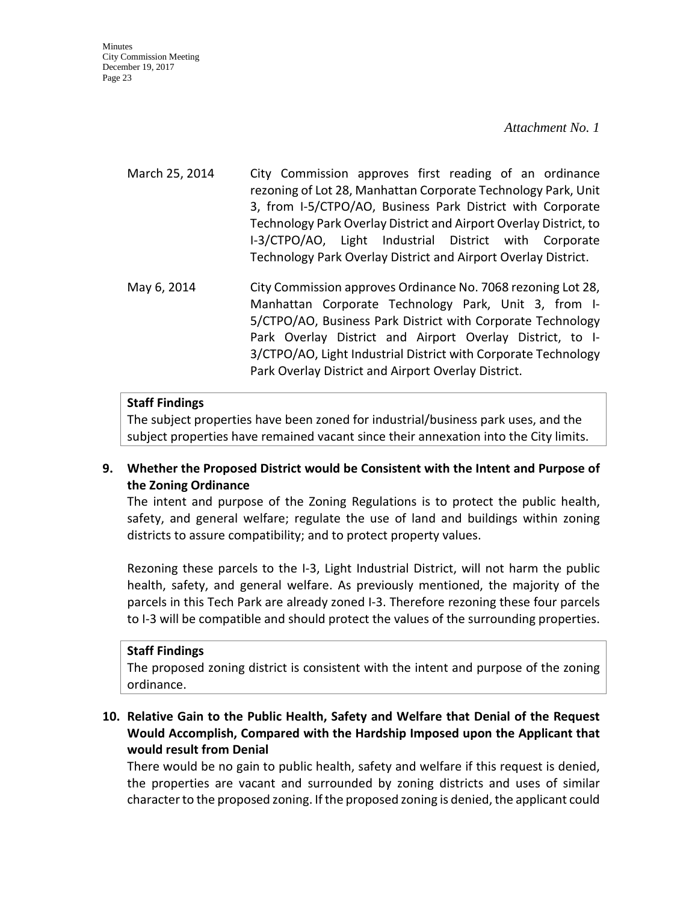#### *Attachment No. 1*

March 25, 2014 City Commission approves first reading of an ordinance rezoning of Lot 28, Manhattan Corporate Technology Park, Unit 3, from I-5/CTPO/AO, Business Park District with Corporate Technology Park Overlay District and Airport Overlay District, to I-3/CTPO/AO, Light Industrial District with Corporate Technology Park Overlay District and Airport Overlay District.

May 6, 2014 City Commission approves Ordinance No. 7068 rezoning Lot 28, Manhattan Corporate Technology Park, Unit 3, from I-5/CTPO/AO, Business Park District with Corporate Technology Park Overlay District and Airport Overlay District, to I-3/CTPO/AO, Light Industrial District with Corporate Technology Park Overlay District and Airport Overlay District.

#### **Staff Findings**

The subject properties have been zoned for industrial/business park uses, and the subject properties have remained vacant since their annexation into the City limits.

# **9. Whether the Proposed District would be Consistent with the Intent and Purpose of the Zoning Ordinance**

The intent and purpose of the Zoning Regulations is to protect the public health, safety, and general welfare; regulate the use of land and buildings within zoning districts to assure compatibility; and to protect property values.

Rezoning these parcels to the I-3, Light Industrial District, will not harm the public health, safety, and general welfare. As previously mentioned, the majority of the parcels in this Tech Park are already zoned I-3. Therefore rezoning these four parcels to I-3 will be compatible and should protect the values of the surrounding properties.

#### **Staff Findings**

The proposed zoning district is consistent with the intent and purpose of the zoning ordinance.

# **10. Relative Gain to the Public Health, Safety and Welfare that Denial of the Request Would Accomplish, Compared with the Hardship Imposed upon the Applicant that would result from Denial**

There would be no gain to public health, safety and welfare if this request is denied, the properties are vacant and surrounded by zoning districts and uses of similar character to the proposed zoning. If the proposed zoning is denied, the applicant could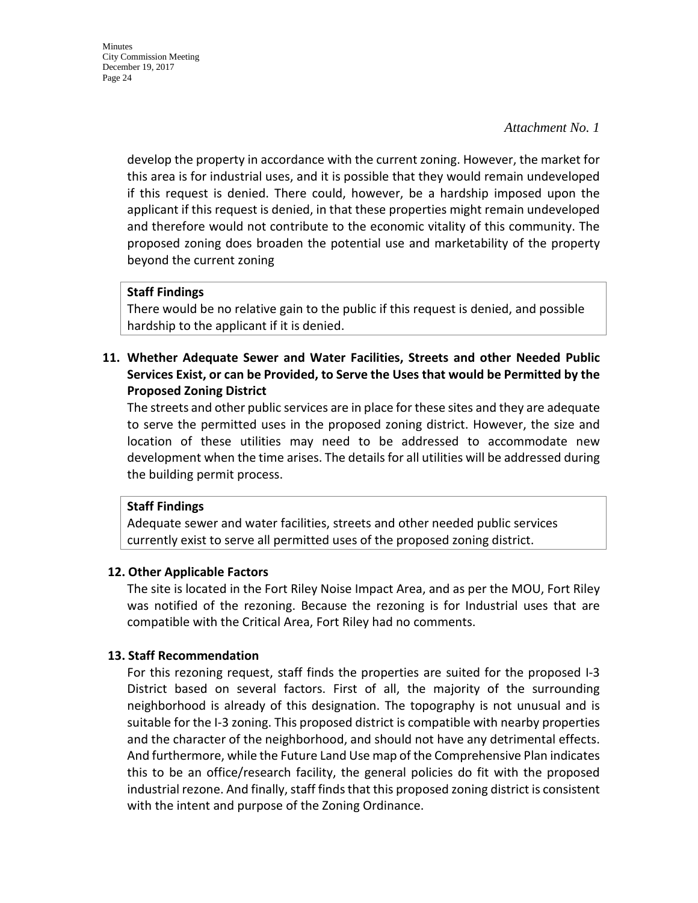develop the property in accordance with the current zoning. However, the market for this area is for industrial uses, and it is possible that they would remain undeveloped if this request is denied. There could, however, be a hardship imposed upon the applicant if this request is denied, in that these properties might remain undeveloped and therefore would not contribute to the economic vitality of this community. The proposed zoning does broaden the potential use and marketability of the property beyond the current zoning

### **Staff Findings**

There would be no relative gain to the public if this request is denied, and possible hardship to the applicant if it is denied.

**11. Whether Adequate Sewer and Water Facilities, Streets and other Needed Public Services Exist, or can be Provided, to Serve the Uses that would be Permitted by the Proposed Zoning District**

The streets and other public services are in place for these sites and they are adequate to serve the permitted uses in the proposed zoning district. However, the size and location of these utilities may need to be addressed to accommodate new development when the time arises. The details for all utilities will be addressed during the building permit process.

#### **Staff Findings**

Adequate sewer and water facilities, streets and other needed public services currently exist to serve all permitted uses of the proposed zoning district.

#### **12. Other Applicable Factors**

The site is located in the Fort Riley Noise Impact Area, and as per the MOU, Fort Riley was notified of the rezoning. Because the rezoning is for Industrial uses that are compatible with the Critical Area, Fort Riley had no comments.

#### **13. Staff Recommendation**

For this rezoning request, staff finds the properties are suited for the proposed I-3 District based on several factors. First of all, the majority of the surrounding neighborhood is already of this designation. The topography is not unusual and is suitable for the I-3 zoning. This proposed district is compatible with nearby properties and the character of the neighborhood, and should not have any detrimental effects. And furthermore, while the Future Land Use map of the Comprehensive Plan indicates this to be an office/research facility, the general policies do fit with the proposed industrial rezone. And finally, staff finds that this proposed zoning district is consistent with the intent and purpose of the Zoning Ordinance.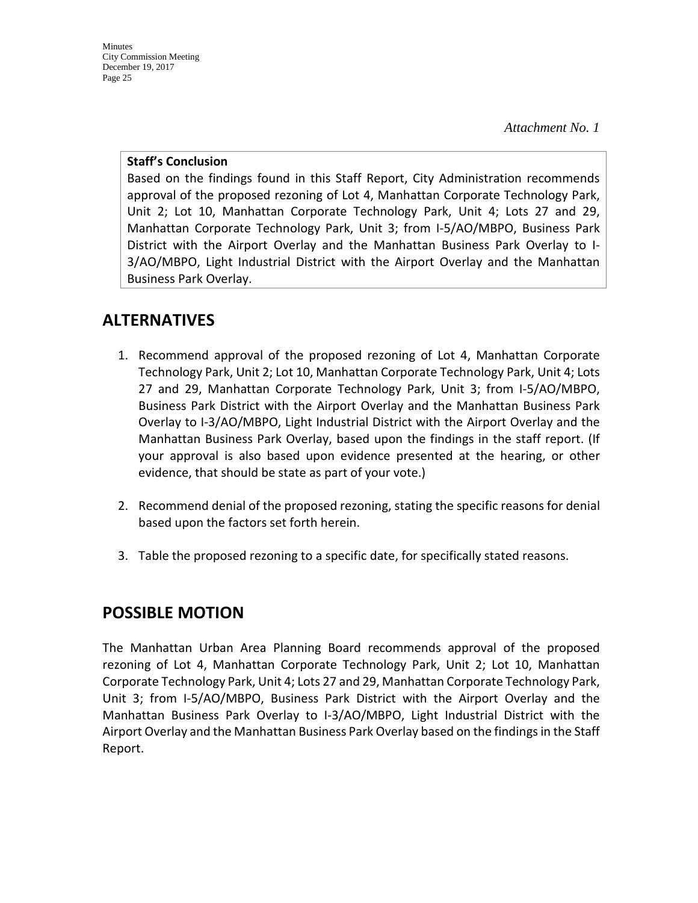*Attachment No. 1*

#### **Staff's Conclusion**

Based on the findings found in this Staff Report, City Administration recommends approval of the proposed rezoning of Lot 4, Manhattan Corporate Technology Park, Unit 2; Lot 10, Manhattan Corporate Technology Park, Unit 4; Lots 27 and 29, Manhattan Corporate Technology Park, Unit 3; from I-5/AO/MBPO, Business Park District with the Airport Overlay and the Manhattan Business Park Overlay to I-3/AO/MBPO, Light Industrial District with the Airport Overlay and the Manhattan Business Park Overlay.

# **ALTERNATIVES**

- 1. Recommend approval of the proposed rezoning of Lot 4, Manhattan Corporate Technology Park, Unit 2; Lot 10, Manhattan Corporate Technology Park, Unit 4; Lots 27 and 29, Manhattan Corporate Technology Park, Unit 3; from I-5/AO/MBPO, Business Park District with the Airport Overlay and the Manhattan Business Park Overlay to I-3/AO/MBPO, Light Industrial District with the Airport Overlay and the Manhattan Business Park Overlay, based upon the findings in the staff report. (If your approval is also based upon evidence presented at the hearing, or other evidence, that should be state as part of your vote.)
- 2. Recommend denial of the proposed rezoning, stating the specific reasons for denial based upon the factors set forth herein.
- 3. Table the proposed rezoning to a specific date, for specifically stated reasons.

# **POSSIBLE MOTION**

The Manhattan Urban Area Planning Board recommends approval of the proposed rezoning of Lot 4, Manhattan Corporate Technology Park, Unit 2; Lot 10, Manhattan Corporate Technology Park, Unit 4; Lots 27 and 29, Manhattan Corporate Technology Park, Unit 3; from I-5/AO/MBPO, Business Park District with the Airport Overlay and the Manhattan Business Park Overlay to I-3/AO/MBPO, Light Industrial District with the Airport Overlay and the Manhattan Business Park Overlay based on the findings in the Staff Report.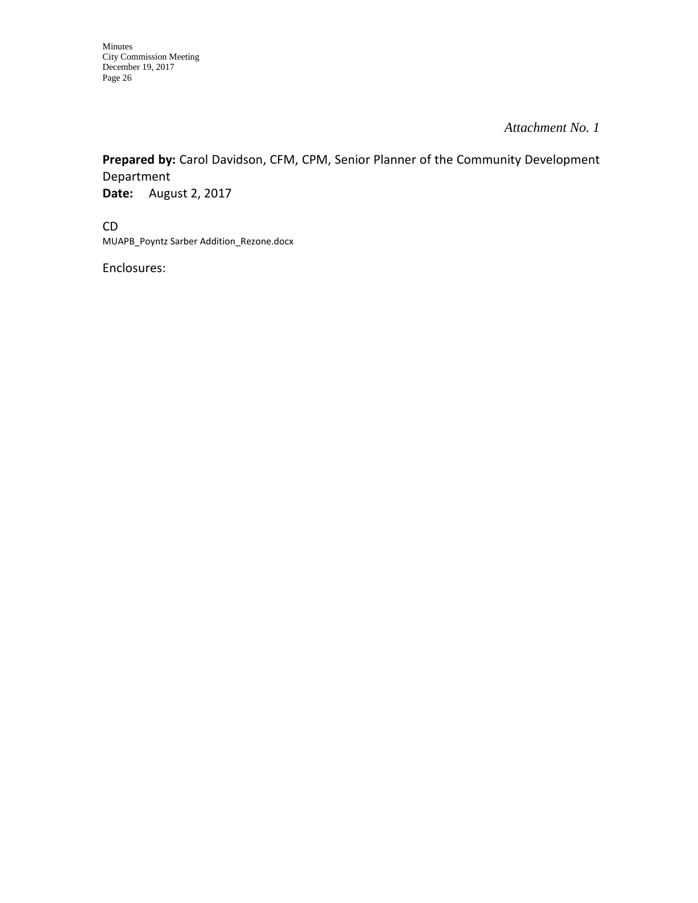**Prepared by:** Carol Davidson, CFM, CPM, Senior Planner of the Community Development Department **Date:** August 2, 2017

CD MUAPB\_Poyntz Sarber Addition\_Rezone.docx

Enclosures: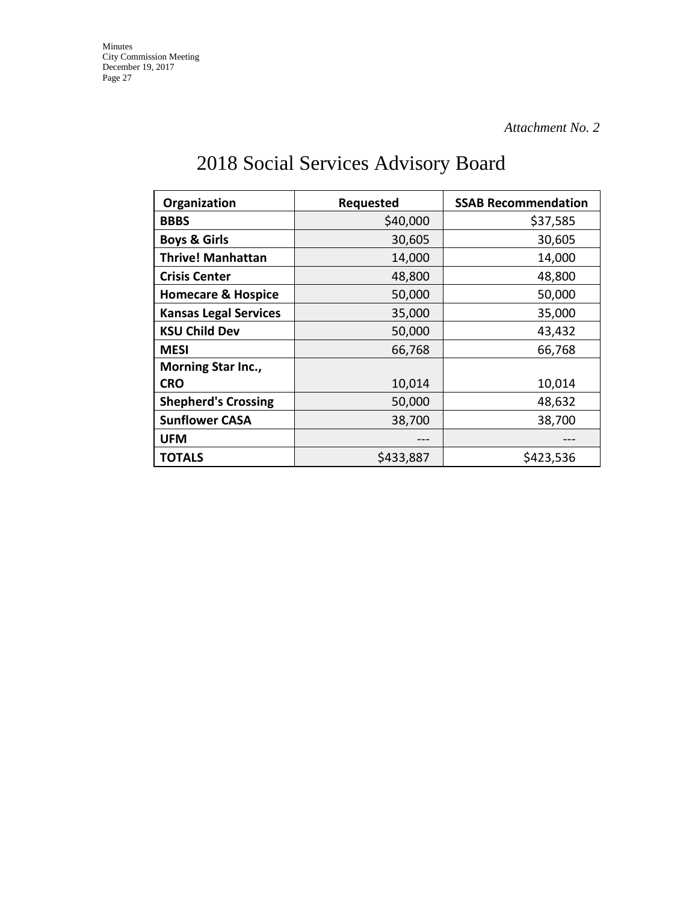# 2018 Social Services Advisory Board

| Organization                  | Requested | <b>SSAB Recommendation</b> |  |
|-------------------------------|-----------|----------------------------|--|
| <b>BBBS</b>                   | \$40,000  | \$37,585                   |  |
| <b>Boys &amp; Girls</b>       | 30,605    | 30,605                     |  |
| <b>Thrive! Manhattan</b>      | 14,000    | 14,000                     |  |
| <b>Crisis Center</b>          | 48,800    | 48,800                     |  |
| <b>Homecare &amp; Hospice</b> | 50,000    | 50,000                     |  |
| <b>Kansas Legal Services</b>  | 35,000    | 35,000                     |  |
| <b>KSU Child Dev</b>          | 50,000    | 43,432                     |  |
| <b>MESI</b>                   | 66,768    | 66,768                     |  |
| <b>Morning Star Inc.,</b>     |           |                            |  |
| <b>CRO</b>                    | 10,014    | 10,014                     |  |
| <b>Shepherd's Crossing</b>    | 50,000    | 48,632                     |  |
| <b>Sunflower CASA</b>         | 38,700    | 38,700                     |  |
| <b>UFM</b>                    |           |                            |  |
| <b>TOTALS</b>                 | \$433,887 | \$423,536                  |  |